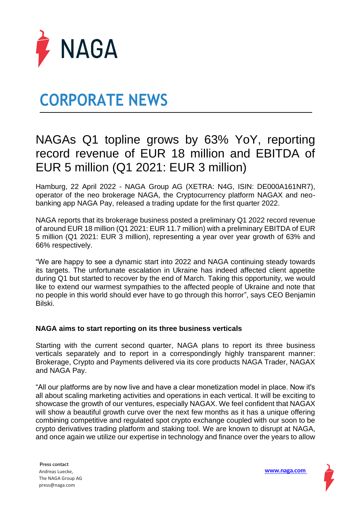

# **CORPORATE NEWS**

### NAGAs Q1 topline grows by 63% YoY, reporting record revenue of EUR 18 million and EBITDA of EUR 5 million (Q1 2021: EUR 3 million)

Hamburg, 22 April 2022 - NAGA Group AG (XETRA: N4G, ISIN: DE000A161NR7), operator of the neo brokerage NAGA, the Cryptocurrency platform NAGAX and neobanking app NAGA Pay, released a trading update for the first quarter 2022.

NAGA reports that its brokerage business posted a preliminary Q1 2022 record revenue of around EUR 18 million (Q1 2021: EUR 11.7 million) with a preliminary EBITDA of EUR 5 million (Q1 2021: EUR 3 million), representing a year over year growth of 63% and 66% respectively.

"We are happy to see a dynamic start into 2022 and NAGA continuing steady towards its targets. The unfortunate escalation in Ukraine has indeed affected client appetite during Q1 but started to recover by the end of March. Taking this opportunity, we would like to extend our warmest sympathies to the affected people of Ukraine and note that no people in this world should ever have to go through this horror", says CEO Benjamin Bilski.

### **NAGA aims to start reporting on its three business verticals**

Starting with the current second quarter, NAGA plans to report its three business verticals separately and to report in a correspondingly highly transparent manner: Brokerage, Crypto and Payments delivered via its core products NAGA Trader, NAGAX and NAGA Pay.

"All our platforms are by now live and have a clear monetization model in place. Now it's all about scaling marketing activities and operations in each vertical. It will be exciting to showcase the growth of our ventures, especially NAGAX. We feel confident that NAGAX will show a beautiful growth curve over the next few months as it has a unique offering combining competitive and regulated spot crypto exchange coupled with our soon to be crypto derivatives trading platform and staking tool. We are known to disrupt at NAGA, and once again we utilize our expertise in technology and finance over the years to allow